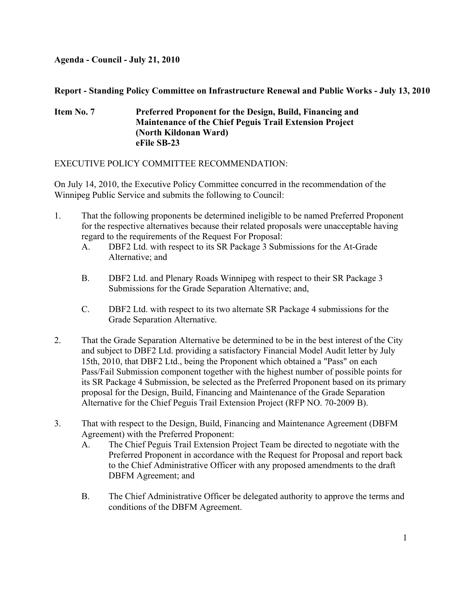#### **Agenda - Council - July 21, 2010**

#### **Report - Standing Policy Committee on Infrastructure Renewal and Public Works - July 13, 2010**

#### **Item No. 7 Preferred Proponent for the Design, Build, Financing and Maintenance of the Chief Peguis Trail Extension Project (North Kildonan Ward) eFile SB-23**

#### EXECUTIVE POLICY COMMITTEE RECOMMENDATION:

On July 14, 2010, the Executive Policy Committee concurred in the recommendation of the Winnipeg Public Service and submits the following to Council:

- 1. That the following proponents be determined ineligible to be named Preferred Proponent for the respective alternatives because their related proposals were unacceptable having regard to the requirements of the Request For Proposal:
	- A. DBF2 Ltd. with respect to its SR Package 3 Submissions for the At-Grade Alternative; and
	- B. DBF2 Ltd. and Plenary Roads Winnipeg with respect to their SR Package 3 Submissions for the Grade Separation Alternative; and,
	- C. DBF2 Ltd. with respect to its two alternate SR Package 4 submissions for the Grade Separation Alternative.
- 2. That the Grade Separation Alternative be determined to be in the best interest of the City and subject to DBF2 Ltd. providing a satisfactory Financial Model Audit letter by July 15th, 2010, that DBF2 Ltd., being the Proponent which obtained a "Pass" on each Pass/Fail Submission component together with the highest number of possible points for its SR Package 4 Submission, be selected as the Preferred Proponent based on its primary proposal for the Design, Build, Financing and Maintenance of the Grade Separation Alternative for the Chief Peguis Trail Extension Project (RFP NO. 70-2009 B).
- 3. That with respect to the Design, Build, Financing and Maintenance Agreement (DBFM Agreement) with the Preferred Proponent:
	- A. The Chief Peguis Trail Extension Project Team be directed to negotiate with the Preferred Proponent in accordance with the Request for Proposal and report back to the Chief Administrative Officer with any proposed amendments to the draft DBFM Agreement; and
	- B. The Chief Administrative Officer be delegated authority to approve the terms and conditions of the DBFM Agreement.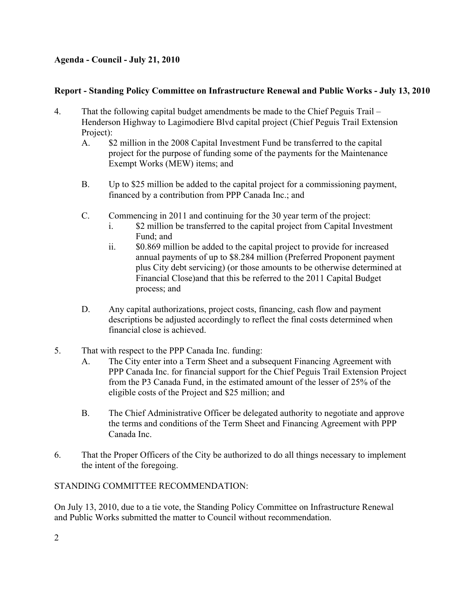### **Agenda - Council - July 21, 2010**

#### **Report - Standing Policy Committee on Infrastructure Renewal and Public Works - July 13, 2010**

- 4. That the following capital budget amendments be made to the Chief Peguis Trail Henderson Highway to Lagimodiere Blvd capital project (Chief Peguis Trail Extension Project):
	- A. \$2 million in the 2008 Capital Investment Fund be transferred to the capital project for the purpose of funding some of the payments for the Maintenance Exempt Works (MEW) items; and
	- B. Up to \$25 million be added to the capital project for a commissioning payment, financed by a contribution from PPP Canada Inc.; and
	- C. Commencing in 2011 and continuing for the 30 year term of the project:
		- i. \$2 million be transferred to the capital project from Capital Investment Fund; and
		- ii. \$0.869 million be added to the capital project to provide for increased annual payments of up to \$8.284 million (Preferred Proponent payment plus City debt servicing) (or those amounts to be otherwise determined at Financial Close)and that this be referred to the 2011 Capital Budget process; and
	- D. Any capital authorizations, project costs, financing, cash flow and payment descriptions be adjusted accordingly to reflect the final costs determined when financial close is achieved.
- 5. That with respect to the PPP Canada Inc. funding:
	- A. The City enter into a Term Sheet and a subsequent Financing Agreement with PPP Canada Inc. for financial support for the Chief Peguis Trail Extension Project from the P3 Canada Fund, in the estimated amount of the lesser of 25% of the eligible costs of the Project and \$25 million; and
	- B. The Chief Administrative Officer be delegated authority to negotiate and approve the terms and conditions of the Term Sheet and Financing Agreement with PPP Canada Inc.
- 6. That the Proper Officers of the City be authorized to do all things necessary to implement the intent of the foregoing.

#### STANDING COMMITTEE RECOMMENDATION:

On July 13, 2010, due to a tie vote, the Standing Policy Committee on Infrastructure Renewal and Public Works submitted the matter to Council without recommendation.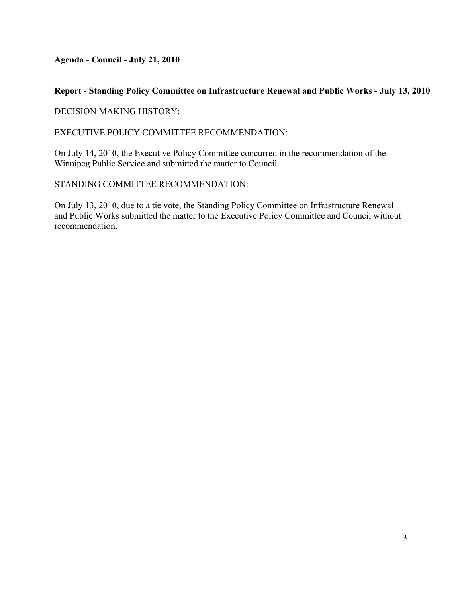**Agenda - Council - July 21, 2010** 

#### **Report - Standing Policy Committee on Infrastructure Renewal and Public Works - July 13, 2010**

DECISION MAKING HISTORY:

EXECUTIVE POLICY COMMITTEE RECOMMENDATION:

On July 14, 2010, the Executive Policy Committee concurred in the recommendation of the Winnipeg Public Service and submitted the matter to Council.

#### STANDING COMMITTEE RECOMMENDATION:

On July 13, 2010, due to a tie vote, the Standing Policy Committee on Infrastructure Renewal and Public Works submitted the matter to the Executive Policy Committee and Council without recommendation.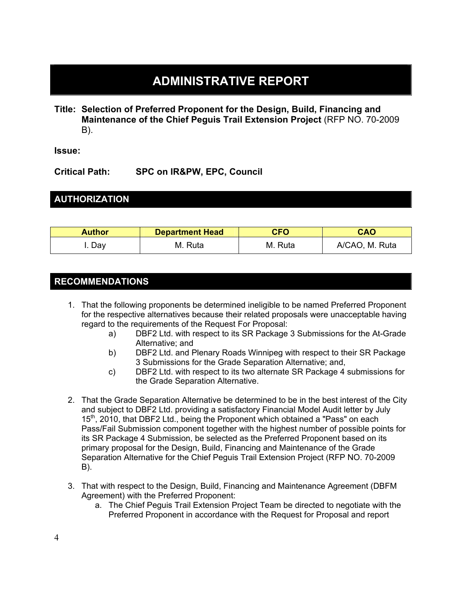# **ADMINISTRATIVE REPORT**

**Title: Selection of Preferred Proponent for the Design, Build, Financing and Maintenance of the Chief Peguis Trail Extension Project** (RFP NO. 70-2009 B).

**Issue:** 

**Critical Path: SPC on IR&PW, EPC, Council** 

# **AUTHORIZATION**

| <b>Author</b> | <b>Department Head</b> | <b>CFO</b> | <b>CAO</b>     |  |  |
|---------------|------------------------|------------|----------------|--|--|
| Dav           | M. Ruta                | M. Ruta    | A/CAO, M. Ruta |  |  |

# **RECOMMENDATIONS**

- 1. That the following proponents be determined ineligible to be named Preferred Proponent for the respective alternatives because their related proposals were unacceptable having regard to the requirements of the Request For Proposal:
	- a) DBF2 Ltd. with respect to its SR Package 3 Submissions for the At-Grade Alternative; and
	- b) DBF2 Ltd. and Plenary Roads Winnipeg with respect to their SR Package 3 Submissions for the Grade Separation Alternative; and,
	- c) DBF2 Ltd. with respect to its two alternate SR Package 4 submissions for the Grade Separation Alternative.
- 2. That the Grade Separation Alternative be determined to be in the best interest of the City and subject to DBF2 Ltd. providing a satisfactory Financial Model Audit letter by July 15<sup>th</sup>, 2010, that DBF2 Ltd., being the Proponent which obtained a "Pass" on each Pass/Fail Submission component together with the highest number of possible points for its SR Package 4 Submission, be selected as the Preferred Proponent based on its primary proposal for the Design, Build, Financing and Maintenance of the Grade Separation Alternative for the Chief Peguis Trail Extension Project (RFP NO. 70-2009 B).
- 3. That with respect to the Design, Build, Financing and Maintenance Agreement (DBFM Agreement) with the Preferred Proponent:
	- a. The Chief Peguis Trail Extension Project Team be directed to negotiate with the Preferred Proponent in accordance with the Request for Proposal and report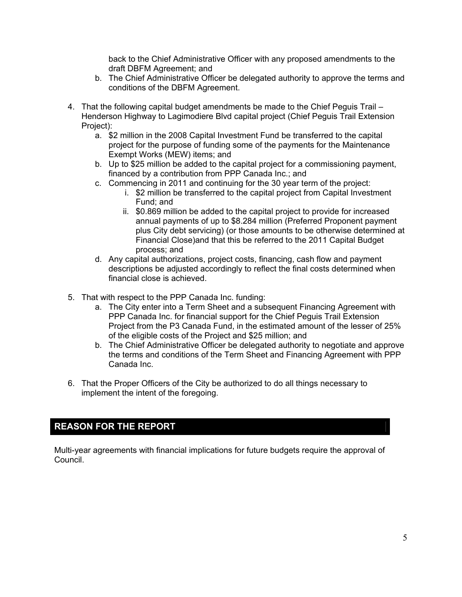back to the Chief Administrative Officer with any proposed amendments to the draft DBFM Agreement; and

- b. The Chief Administrative Officer be delegated authority to approve the terms and conditions of the DBFM Agreement.
- 4. That the following capital budget amendments be made to the Chief Peguis Trail Henderson Highway to Lagimodiere Blvd capital project (Chief Peguis Trail Extension Project):
	- a. \$2 million in the 2008 Capital Investment Fund be transferred to the capital project for the purpose of funding some of the payments for the Maintenance Exempt Works (MEW) items; and
	- b. Up to \$25 million be added to the capital project for a commissioning payment, financed by a contribution from PPP Canada Inc.; and
	- c. Commencing in 2011 and continuing for the 30 year term of the project:
		- i. \$2 million be transferred to the capital project from Capital Investment Fund; and
		- ii. \$0.869 million be added to the capital project to provide for increased annual payments of up to \$8.284 million (Preferred Proponent payment plus City debt servicing) (or those amounts to be otherwise determined at Financial Close)and that this be referred to the 2011 Capital Budget process; and
	- d. Any capital authorizations, project costs, financing, cash flow and payment descriptions be adjusted accordingly to reflect the final costs determined when financial close is achieved.
- 5. That with respect to the PPP Canada Inc. funding:
	- a. The City enter into a Term Sheet and a subsequent Financing Agreement with PPP Canada Inc. for financial support for the Chief Peguis Trail Extension Project from the P3 Canada Fund, in the estimated amount of the lesser of 25% of the eligible costs of the Project and \$25 million; and
	- b. The Chief Administrative Officer be delegated authority to negotiate and approve the terms and conditions of the Term Sheet and Financing Agreement with PPP Canada Inc.
- 6. That the Proper Officers of the City be authorized to do all things necessary to implement the intent of the foregoing.

# **REASON FOR THE REPORT**

Multi-year agreements with financial implications for future budgets require the approval of Council.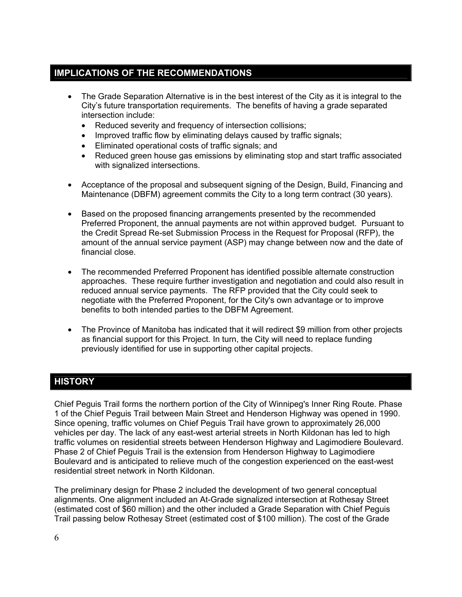# **IMPLICATIONS OF THE RECOMMENDATIONS**

- The Grade Separation Alternative is in the best interest of the City as it is integral to the City's future transportation requirements. The benefits of having a grade separated intersection include:
	- Reduced severity and frequency of intersection collisions;
	- Improved traffic flow by eliminating delays caused by traffic signals;
	- Eliminated operational costs of traffic signals; and
	- Reduced green house gas emissions by eliminating stop and start traffic associated with signalized intersections.
- Acceptance of the proposal and subsequent signing of the Design, Build, Financing and Maintenance (DBFM) agreement commits the City to a long term contract (30 years).
- Based on the proposed financing arrangements presented by the recommended Preferred Proponent, the annual payments are not within approved budget. Pursuant to the Credit Spread Re-set Submission Process in the Request for Proposal (RFP), the amount of the annual service payment (ASP) may change between now and the date of financial close.
- The recommended Preferred Proponent has identified possible alternate construction approaches. These require further investigation and negotiation and could also result in reduced annual service payments. The RFP provided that the City could seek to negotiate with the Preferred Proponent, for the City's own advantage or to improve benefits to both intended parties to the DBFM Agreement.
- The Province of Manitoba has indicated that it will redirect \$9 million from other projects as financial support for this Project. In turn, the City will need to replace funding previously identified for use in supporting other capital projects.

# **HISTORY**

Chief Peguis Trail forms the northern portion of the City of Winnipeg's Inner Ring Route. Phase 1 of the Chief Peguis Trail between Main Street and Henderson Highway was opened in 1990. Since opening, traffic volumes on Chief Peguis Trail have grown to approximately 26,000 vehicles per day. The lack of any east-west arterial streets in North Kildonan has led to high traffic volumes on residential streets between Henderson Highway and Lagimodiere Boulevard. Phase 2 of Chief Peguis Trail is the extension from Henderson Highway to Lagimodiere Boulevard and is anticipated to relieve much of the congestion experienced on the east-west residential street network in North Kildonan.

The preliminary design for Phase 2 included the development of two general conceptual alignments. One alignment included an At-Grade signalized intersection at Rothesay Street (estimated cost of \$60 million) and the other included a Grade Separation with Chief Peguis Trail passing below Rothesay Street (estimated cost of \$100 million). The cost of the Grade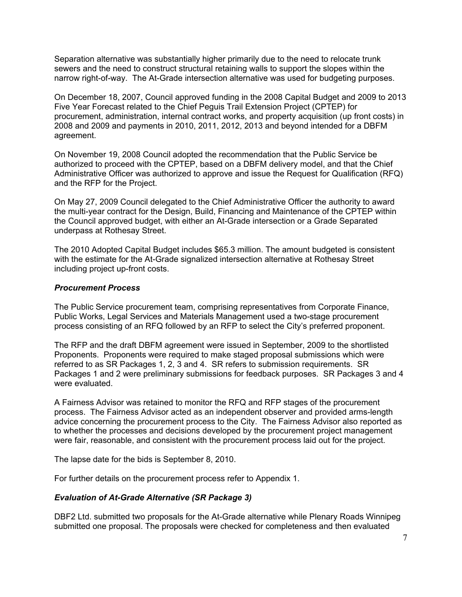Separation alternative was substantially higher primarily due to the need to relocate trunk sewers and the need to construct structural retaining walls to support the slopes within the narrow right-of-way. The At-Grade intersection alternative was used for budgeting purposes.

On December 18, 2007, Council approved funding in the 2008 Capital Budget and 2009 to 2013 Five Year Forecast related to the Chief Peguis Trail Extension Project (CPTEP) for procurement, administration, internal contract works, and property acquisition (up front costs) in 2008 and 2009 and payments in 2010, 2011, 2012, 2013 and beyond intended for a DBFM agreement.

On November 19, 2008 Council adopted the recommendation that the Public Service be authorized to proceed with the CPTEP, based on a DBFM delivery model, and that the Chief Administrative Officer was authorized to approve and issue the Request for Qualification (RFQ) and the RFP for the Project.

On May 27, 2009 Council delegated to the Chief Administrative Officer the authority to award the multi-year contract for the Design, Build, Financing and Maintenance of the CPTEP within the Council approved budget, with either an At-Grade intersection or a Grade Separated underpass at Rothesay Street.

The 2010 Adopted Capital Budget includes \$65.3 million. The amount budgeted is consistent with the estimate for the At-Grade signalized intersection alternative at Rothesay Street including project up-front costs.

#### *Procurement Process*

The Public Service procurement team, comprising representatives from Corporate Finance, Public Works, Legal Services and Materials Management used a two-stage procurement process consisting of an RFQ followed by an RFP to select the City's preferred proponent.

The RFP and the draft DBFM agreement were issued in September, 2009 to the shortlisted Proponents. Proponents were required to make staged proposal submissions which were referred to as SR Packages 1, 2, 3 and 4. SR refers to submission requirements. SR Packages 1 and 2 were preliminary submissions for feedback purposes. SR Packages 3 and 4 were evaluated.

A Fairness Advisor was retained to monitor the RFQ and RFP stages of the procurement process. The Fairness Advisor acted as an independent observer and provided arms-length advice concerning the procurement process to the City. The Fairness Advisor also reported as to whether the processes and decisions developed by the procurement project management were fair, reasonable, and consistent with the procurement process laid out for the project.

The lapse date for the bids is September 8, 2010.

For further details on the procurement process refer to Appendix 1.

#### *Evaluation of At-Grade Alternative (SR Package 3)*

DBF2 Ltd. submitted two proposals for the At-Grade alternative while Plenary Roads Winnipeg submitted one proposal. The proposals were checked for completeness and then evaluated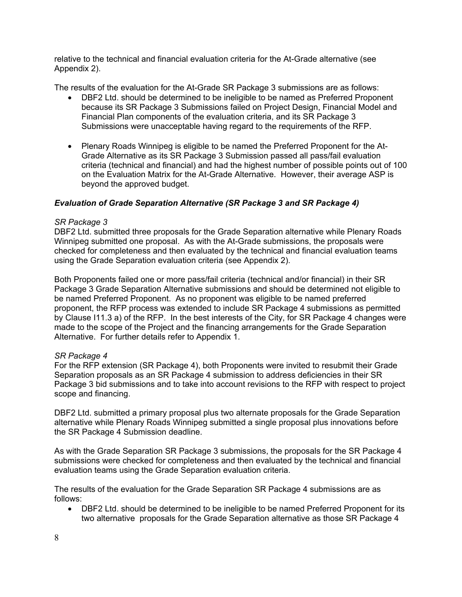relative to the technical and financial evaluation criteria for the At-Grade alternative (see Appendix 2).

The results of the evaluation for the At-Grade SR Package 3 submissions are as follows:

- DBF2 Ltd. should be determined to be ineligible to be named as Preferred Proponent because its SR Package 3 Submissions failed on Project Design, Financial Model and Financial Plan components of the evaluation criteria, and its SR Package 3 Submissions were unacceptable having regard to the requirements of the RFP.
- Plenary Roads Winnipeg is eligible to be named the Preferred Proponent for the At-Grade Alternative as its SR Package 3 Submission passed all pass/fail evaluation criteria (technical and financial) and had the highest number of possible points out of 100 on the Evaluation Matrix for the At-Grade Alternative. However, their average ASP is beyond the approved budget.

#### *Evaluation of Grade Separation Alternative (SR Package 3 and SR Package 4)*

#### *SR Package 3*

DBF2 Ltd. submitted three proposals for the Grade Separation alternative while Plenary Roads Winnipeg submitted one proposal. As with the At-Grade submissions, the proposals were checked for completeness and then evaluated by the technical and financial evaluation teams using the Grade Separation evaluation criteria (see Appendix 2).

Both Proponents failed one or more pass/fail criteria (technical and/or financial) in their SR Package 3 Grade Separation Alternative submissions and should be determined not eligible to be named Preferred Proponent. As no proponent was eligible to be named preferred proponent, the RFP process was extended to include SR Package 4 submissions as permitted by Clause I11.3 a) of the RFP. In the best interests of the City, for SR Package 4 changes were made to the scope of the Project and the financing arrangements for the Grade Separation Alternative. For further details refer to Appendix 1.

#### *SR Package 4*

For the RFP extension (SR Package 4), both Proponents were invited to resubmit their Grade Separation proposals as an SR Package 4 submission to address deficiencies in their SR Package 3 bid submissions and to take into account revisions to the RFP with respect to project scope and financing.

DBF2 Ltd. submitted a primary proposal plus two alternate proposals for the Grade Separation alternative while Plenary Roads Winnipeg submitted a single proposal plus innovations before the SR Package 4 Submission deadline.

As with the Grade Separation SR Package 3 submissions, the proposals for the SR Package 4 submissions were checked for completeness and then evaluated by the technical and financial evaluation teams using the Grade Separation evaluation criteria.

The results of the evaluation for the Grade Separation SR Package 4 submissions are as follows:

• DBF2 Ltd. should be determined to be ineligible to be named Preferred Proponent for its two alternative proposals for the Grade Separation alternative as those SR Package 4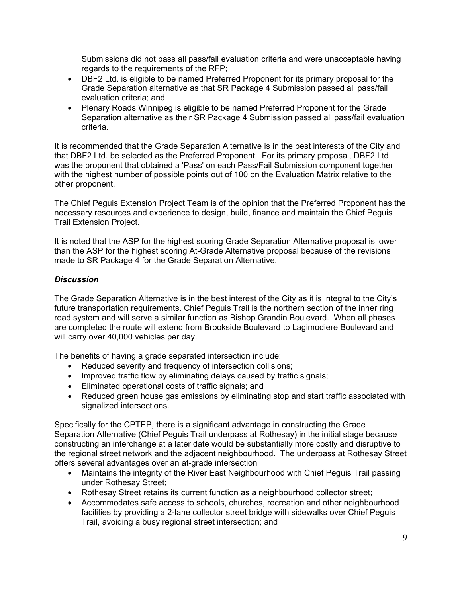Submissions did not pass all pass/fail evaluation criteria and were unacceptable having regards to the requirements of the RFP;

- DBF2 Ltd. is eligible to be named Preferred Proponent for its primary proposal for the Grade Separation alternative as that SR Package 4 Submission passed all pass/fail evaluation criteria; and
- Plenary Roads Winnipeg is eligible to be named Preferred Proponent for the Grade Separation alternative as their SR Package 4 Submission passed all pass/fail evaluation criteria.

It is recommended that the Grade Separation Alternative is in the best interests of the City and that DBF2 Ltd. be selected as the Preferred Proponent. For its primary proposal, DBF2 Ltd. was the proponent that obtained a 'Pass' on each Pass/Fail Submission component together with the highest number of possible points out of 100 on the Evaluation Matrix relative to the other proponent.

The Chief Peguis Extension Project Team is of the opinion that the Preferred Proponent has the necessary resources and experience to design, build, finance and maintain the Chief Peguis Trail Extension Project.

It is noted that the ASP for the highest scoring Grade Separation Alternative proposal is lower than the ASP for the highest scoring At-Grade Alternative proposal because of the revisions made to SR Package 4 for the Grade Separation Alternative.

#### *Discussion*

The Grade Separation Alternative is in the best interest of the City as it is integral to the City's future transportation requirements. Chief Peguis Trail is the northern section of the inner ring road system and will serve a similar function as Bishop Grandin Boulevard. When all phases are completed the route will extend from Brookside Boulevard to Lagimodiere Boulevard and will carry over 40,000 vehicles per day.

The benefits of having a grade separated intersection include:

- Reduced severity and frequency of intersection collisions:
- Improved traffic flow by eliminating delays caused by traffic signals;
- Eliminated operational costs of traffic signals; and
- Reduced green house gas emissions by eliminating stop and start traffic associated with signalized intersections.

Specifically for the CPTEP, there is a significant advantage in constructing the Grade Separation Alternative (Chief Peguis Trail underpass at Rothesay) in the initial stage because constructing an interchange at a later date would be substantially more costly and disruptive to the regional street network and the adjacent neighbourhood. The underpass at Rothesay Street offers several advantages over an at-grade intersection

- Maintains the integrity of the River East Neighbourhood with Chief Peguis Trail passing under Rothesay Street;
- Rothesay Street retains its current function as a neighbourhood collector street;
- Accommodates safe access to schools, churches, recreation and other neighbourhood facilities by providing a 2-lane collector street bridge with sidewalks over Chief Peguis Trail, avoiding a busy regional street intersection; and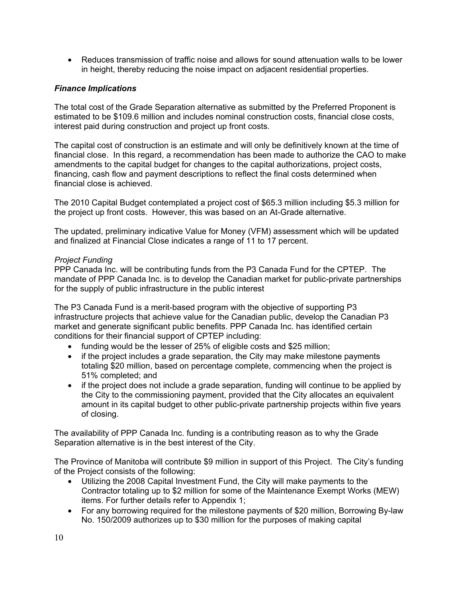• Reduces transmission of traffic noise and allows for sound attenuation walls to be lower in height, thereby reducing the noise impact on adjacent residential properties.

#### *Finance Implications*

The total cost of the Grade Separation alternative as submitted by the Preferred Proponent is estimated to be \$109.6 million and includes nominal construction costs, financial close costs, interest paid during construction and project up front costs.

The capital cost of construction is an estimate and will only be definitively known at the time of financial close. In this regard, a recommendation has been made to authorize the CAO to make amendments to the capital budget for changes to the capital authorizations, project costs, financing, cash flow and payment descriptions to reflect the final costs determined when financial close is achieved.

The 2010 Capital Budget contemplated a project cost of \$65.3 million including \$5.3 million for the project up front costs. However, this was based on an At-Grade alternative.

The updated, preliminary indicative Value for Money (VFM) assessment which will be updated and finalized at Financial Close indicates a range of 11 to 17 percent.

#### *Project Funding*

PPP Canada Inc. will be contributing funds from the P3 Canada Fund for the CPTEP. The mandate of PPP Canada Inc. is to develop the Canadian market for public-private partnerships for the supply of public infrastructure in the public interest

The P3 Canada Fund is a merit-based program with the objective of supporting P3 infrastructure projects that achieve value for the Canadian public, develop the Canadian P3 market and generate significant public benefits. PPP Canada Inc. has identified certain conditions for their financial support of CPTEP including:

- funding would be the lesser of 25% of eligible costs and \$25 million;
- if the project includes a grade separation, the City may make milestone payments totaling \$20 million, based on percentage complete, commencing when the project is 51% completed; and
- if the project does not include a grade separation, funding will continue to be applied by the City to the commissioning payment, provided that the City allocates an equivalent amount in its capital budget to other public-private partnership projects within five years of closing.

The availability of PPP Canada Inc. funding is a contributing reason as to why the Grade Separation alternative is in the best interest of the City.

The Province of Manitoba will contribute \$9 million in support of this Project. The City's funding of the Project consists of the following:

- Utilizing the 2008 Capital Investment Fund, the City will make payments to the Contractor totaling up to \$2 million for some of the Maintenance Exempt Works (MEW) items. For further details refer to Appendix 1;
- For any borrowing required for the milestone payments of \$20 million, Borrowing By-law No. 150/2009 authorizes up to \$30 million for the purposes of making capital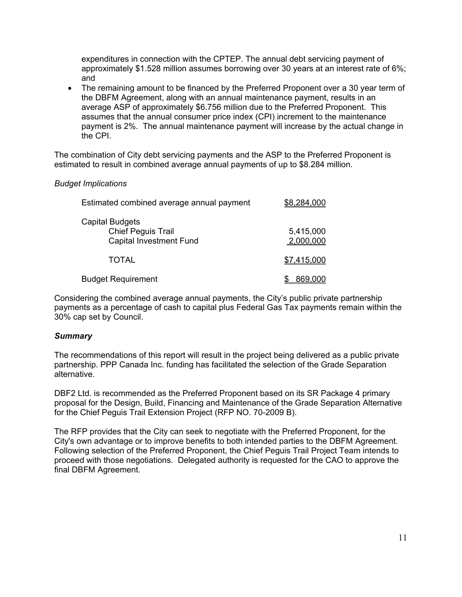expenditures in connection with the CPTEP. The annual debt servicing payment of approximately \$1.528 million assumes borrowing over 30 years at an interest rate of 6%; and

• The remaining amount to be financed by the Preferred Proponent over a 30 year term of the DBFM Agreement, along with an annual maintenance payment, results in an average ASP of approximately \$6.756 million due to the Preferred Proponent. This assumes that the annual consumer price index (CPI) increment to the maintenance payment is 2%. The annual maintenance payment will increase by the actual change in the CPI.

The combination of City debt servicing payments and the ASP to the Preferred Proponent is estimated to result in combined average annual payments of up to \$8.284 million.

#### *Budget Implications*

| Estimated combined average annual payment                                      | <u>\$8,284,000</u>     |  |  |  |
|--------------------------------------------------------------------------------|------------------------|--|--|--|
| Capital Budgets<br><b>Chief Peguis Trail</b><br><b>Capital Investment Fund</b> | 5,415,000<br>2,000,000 |  |  |  |
| <b>TOTAL</b>                                                                   | \$7,415,000            |  |  |  |
| <b>Budget Requirement</b>                                                      | 869,000                |  |  |  |

Considering the combined average annual payments, the City's public private partnership payments as a percentage of cash to capital plus Federal Gas Tax payments remain within the 30% cap set by Council.

#### *Summary*

The recommendations of this report will result in the project being delivered as a public private partnership. PPP Canada Inc. funding has facilitated the selection of the Grade Separation alternative.

DBF2 Ltd. is recommended as the Preferred Proponent based on its SR Package 4 primary proposal for the Design, Build, Financing and Maintenance of the Grade Separation Alternative for the Chief Peguis Trail Extension Project (RFP NO. 70-2009 B).

The RFP provides that the City can seek to negotiate with the Preferred Proponent, for the City's own advantage or to improve benefits to both intended parties to the DBFM Agreement. Following selection of the Preferred Proponent, the Chief Peguis Trail Project Team intends to proceed with those negotiations. Delegated authority is requested for the CAO to approve the final DBFM Agreement.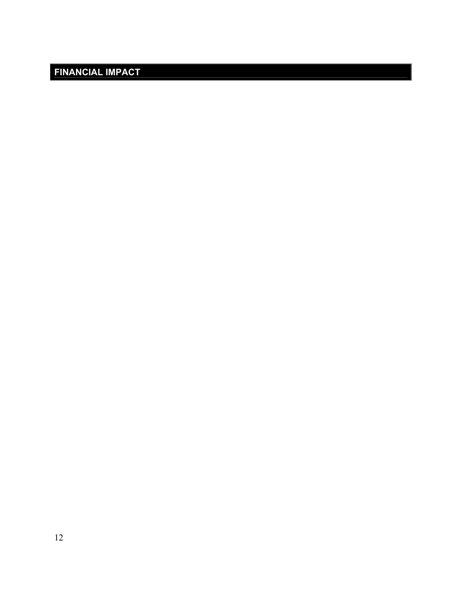# **FINANCIAL IMPACT**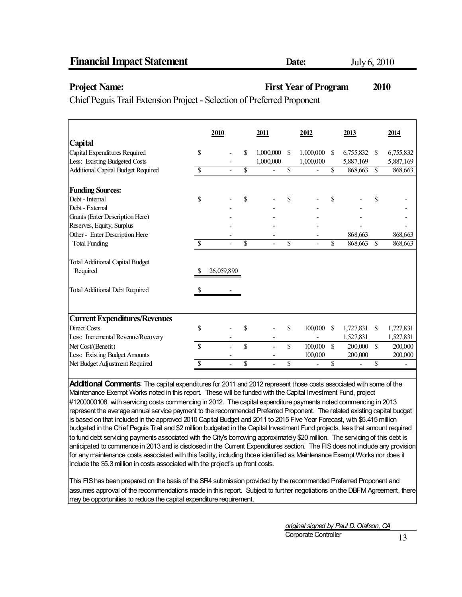#### **Project Name:** First Year of Program 2010

Chief Peguis Trail Extension Project - Selection of Preferred Proponent

|                                           |               | 2010       |    | 2011      | 2012            |               | 2013      |               | 2014      |
|-------------------------------------------|---------------|------------|----|-----------|-----------------|---------------|-----------|---------------|-----------|
| Capital                                   |               |            |    |           |                 |               |           |               |           |
| Capital Expenditures Required             | <sup>\$</sup> |            | S  | 1,000,000 | \$<br>1,000,000 | <sup>\$</sup> | 6,755,832 | \$            | 6,755,832 |
| Less: Existing Budgeted Costs             |               |            |    | 1,000,000 | 1,000,000       |               | 5,887,169 |               | 5,887,169 |
| <b>Additional Capital Budget Required</b> | \$            |            | \$ |           | \$              | \$            | 868,663   | <sup>\$</sup> | 868,663   |
| <b>Funding Sources:</b>                   |               |            |    |           |                 |               |           |               |           |
| Debt - Internal                           | \$            |            | S  |           | \$              | \$            |           | \$            |           |
| Debt - External                           |               |            |    |           |                 |               |           |               |           |
| Grants (Enter Description Here)           |               |            |    |           |                 |               |           |               |           |
| Reserves, Equity, Surplus                 |               |            |    |           |                 |               |           |               |           |
| Other - Enter Description Here            |               |            |    |           |                 |               | 868,663   |               | 868,663   |
| <b>Total Funding</b>                      | S             |            | \$ |           | \$              | \$            | 868,663   | <sup>\$</sup> | 868,663   |
| <b>Total Additional Capital Budget</b>    |               |            |    |           |                 |               |           |               |           |
| Required                                  |               | 26,059,890 |    |           |                 |               |           |               |           |
| <b>Total Additional Debt Required</b>     | S             |            |    |           |                 |               |           |               |           |
|                                           |               |            |    |           |                 |               |           |               |           |
| <b>Current Expenditures/Revenues</b>      |               |            |    |           |                 |               |           |               |           |
| <b>Direct Costs</b>                       | \$            |            | \$ |           | \$<br>100,000   | <sup>\$</sup> | 1,727,831 | \$            | 1,727,831 |
| Less: Incremental Revenue/Recovery        |               |            |    |           |                 |               | 1,527,831 |               | 1,527,831 |
| Net Cost/(Benefit)                        | \$.           |            | \$ |           | \$<br>100,000   | \$            | 200,000   | \$            | 200,000   |
| Less: Existing Budget Amounts             |               |            |    |           | 100,000         |               | 200,000   |               | 200,000   |
| Net Budget Adjustment Required            | \$            |            | \$ |           | \$              | \$            |           | \$            |           |

**Additional Comments**: The capital expenditures for 2011 and 2012 represent those costs associated with some of the Maintenance Exempt Works noted in this report. These will be funded with the Capital Investment Fund, project #1200000108, with servicing costs commencing in 2012. The capital expenditure payments noted commencing in 2013 represent the average annual service payment to the recommended Preferred Proponent. The related existing capital budget is based on that included in the approved 2010 Capital Budget and 2011 to 2015 Five Year Forecast, with \$5.415 million budgeted in the Chief Peguis Trail and \$2 million budgeted in the Capital Investment Fund projects, less that amount required to fund debt servicing payments associated with the City's borrowing approximately \$20 million. The servicing of this debt is anticipated to commence in 2013 and is disclosed in the Current Expenditures section. The FIS does not include any provision for any maintenance costs associated with this facility, including those identified as Maintenance Exempt Works nor does it include the \$5.3 million in costs associated with the project's up front costs.

This FIS has been prepared on the basis of the SR4 submission provided by the recommended Preferred Proponent and assumes approval of the recommendations made in this report. Subject to further negotiations on the DBFM Agreement, there may be opportunities to reduce the capital expenditure requirement.

> *original signed by Paul D. Olafson, CA* Corporate Controller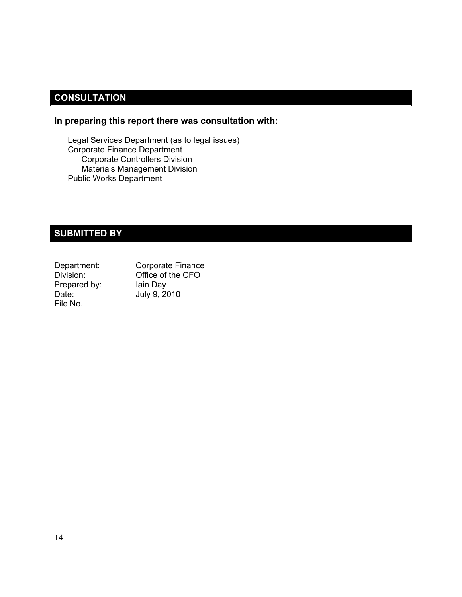# **CONSULTATION**

#### **In preparing this report there was consultation with:**

Legal Services Department (as to legal issues) Corporate Finance Department Corporate Controllers Division Materials Management Division Public Works Department

# **SUBMITTED BY**

| Department:  | Corporate Finance |
|--------------|-------------------|
| Division:    | Office of the CFO |
| Prepared by: | lain Day          |
| Date:        | July 9, 2010      |
| File No.     |                   |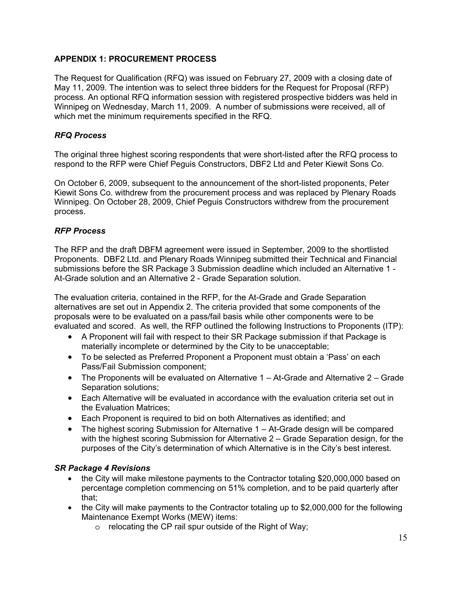#### **APPENDIX 1: PROCUREMENT PROCESS**

The Request for Qualification (RFQ) was issued on February 27, 2009 with a closing date of May 11, 2009. The intention was to select three bidders for the Request for Proposal (RFP) process. An optional RFQ information session with registered prospective bidders was held in Winnipeg on Wednesday, March 11, 2009. A number of submissions were received, all of which met the minimum requirements specified in the RFQ.

#### *RFQ Process*

The original three highest scoring respondents that were short-listed after the RFQ process to respond to the RFP were Chief Peguis Constructors, DBF2 Ltd and Peter Kiewit Sons Co.

On October 6, 2009, subsequent to the announcement of the short-listed proponents, Peter Kiewit Sons Co. withdrew from the procurement process and was replaced by Plenary Roads Winnipeg. On October 28, 2009, Chief Peguis Constructors withdrew from the procurement process.

#### *RFP Process*

The RFP and the draft DBFM agreement were issued in September, 2009 to the shortlisted Proponents. DBF2 Ltd. and Plenary Roads Winnipeg submitted their Technical and Financial submissions before the SR Package 3 Submission deadline which included an Alternative 1 - At-Grade solution and an Alternative 2 - Grade Separation solution.

The evaluation criteria, contained in the RFP, for the At-Grade and Grade Separation alternatives are set out in Appendix 2. The criteria provided that some components of the proposals were to be evaluated on a pass/fail basis while other components were to be evaluated and scored. As well, the RFP outlined the following Instructions to Proponents (ITP):

- A Proponent will fail with respect to their SR Package submission if that Package is materially incomplete or determined by the City to be unacceptable;
- To be selected as Preferred Proponent a Proponent must obtain a 'Pass' on each Pass/Fail Submission component;
- The Proponents will be evaluated on Alternative 1 At-Grade and Alternative 2 Grade Separation solutions;
- Each Alternative will be evaluated in accordance with the evaluation criteria set out in the Evaluation Matrices;
- Each Proponent is required to bid on both Alternatives as identified; and
- The highest scoring Submission for Alternative 1 At-Grade design will be compared with the highest scoring Submission for Alternative 2 – Grade Separation design, for the purposes of the City's determination of which Alternative is in the City's best interest.

#### *SR Package 4 Revisions*

- the City will make milestone payments to the Contractor totaling \$20,000,000 based on percentage completion commencing on 51% completion, and to be paid quarterly after that;
- the City will make payments to the Contractor totaling up to \$2,000,000 for the following Maintenance Exempt Works (MEW) items:
	- o relocating the CP rail spur outside of the Right of Way;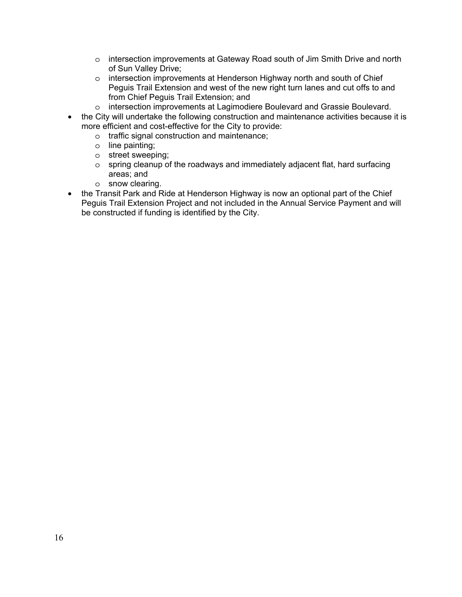- o intersection improvements at Gateway Road south of Jim Smith Drive and north of Sun Valley Drive;
- o intersection improvements at Henderson Highway north and south of Chief Peguis Trail Extension and west of the new right turn lanes and cut offs to and from Chief Peguis Trail Extension; and
- o intersection improvements at Lagimodiere Boulevard and Grassie Boulevard.
- the City will undertake the following construction and maintenance activities because it is more efficient and cost-effective for the City to provide:
	- o traffic signal construction and maintenance;
	- o line painting;
	- o street sweeping;
	- $\circ$  spring cleanup of the roadways and immediately adjacent flat, hard surfacing areas; and
	- o snow clearing.
- the Transit Park and Ride at Henderson Highway is now an optional part of the Chief Peguis Trail Extension Project and not included in the Annual Service Payment and will be constructed if funding is identified by the City.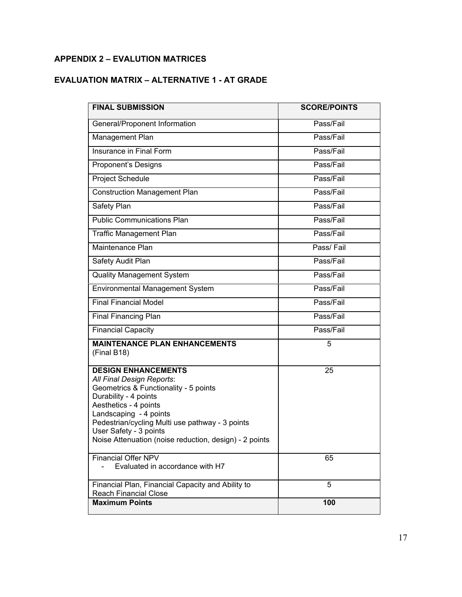# **APPENDIX 2 – EVALUTION MATRICES**

# **EVALUATION MATRIX – ALTERNATIVE 1 - AT GRADE**

| <b>FINAL SUBMISSION</b>                                                                                                                                                                                                                                                                                             | <b>SCORE/POINTS</b> |
|---------------------------------------------------------------------------------------------------------------------------------------------------------------------------------------------------------------------------------------------------------------------------------------------------------------------|---------------------|
| General/Proponent Information                                                                                                                                                                                                                                                                                       | Pass/Fail           |
| Management Plan                                                                                                                                                                                                                                                                                                     | Pass/Fail           |
| Insurance in Final Form                                                                                                                                                                                                                                                                                             | Pass/Fail           |
| Proponent's Designs                                                                                                                                                                                                                                                                                                 | Pass/Fail           |
| Project Schedule                                                                                                                                                                                                                                                                                                    | Pass/Fail           |
| <b>Construction Management Plan</b>                                                                                                                                                                                                                                                                                 | Pass/Fail           |
| Safety Plan                                                                                                                                                                                                                                                                                                         | Pass/Fail           |
| <b>Public Communications Plan</b>                                                                                                                                                                                                                                                                                   | Pass/Fail           |
| <b>Traffic Management Plan</b>                                                                                                                                                                                                                                                                                      | Pass/Fail           |
| Maintenance Plan                                                                                                                                                                                                                                                                                                    | Pass/Fail           |
| Safety Audit Plan                                                                                                                                                                                                                                                                                                   | Pass/Fail           |
| <b>Quality Management System</b>                                                                                                                                                                                                                                                                                    | Pass/Fail           |
| Environmental Management System                                                                                                                                                                                                                                                                                     | Pass/Fail           |
| <b>Final Financial Model</b>                                                                                                                                                                                                                                                                                        | Pass/Fail           |
| Final Financing Plan                                                                                                                                                                                                                                                                                                | Pass/Fail           |
| <b>Financial Capacity</b>                                                                                                                                                                                                                                                                                           | Pass/Fail           |
| <b>MAINTENANCE PLAN ENHANCEMENTS</b><br>(Final B18)                                                                                                                                                                                                                                                                 | 5                   |
| <b>DESIGN ENHANCEMENTS</b><br>All Final Design Reports:<br>Geometrics & Functionality - 5 points<br>Durability - 4 points<br>Aesthetics - 4 points<br>Landscaping - 4 points<br>Pedestrian/cycling Multi use pathway - 3 points<br>User Safety - 3 points<br>Noise Attenuation (noise reduction, design) - 2 points | 25                  |
| <b>Financial Offer NPV</b>                                                                                                                                                                                                                                                                                          | 65                  |
| Evaluated in accordance with H7                                                                                                                                                                                                                                                                                     |                     |
| Financial Plan, Financial Capacity and Ability to<br><b>Reach Financial Close</b>                                                                                                                                                                                                                                   | 5                   |
| <b>Maximum Points</b>                                                                                                                                                                                                                                                                                               | 100                 |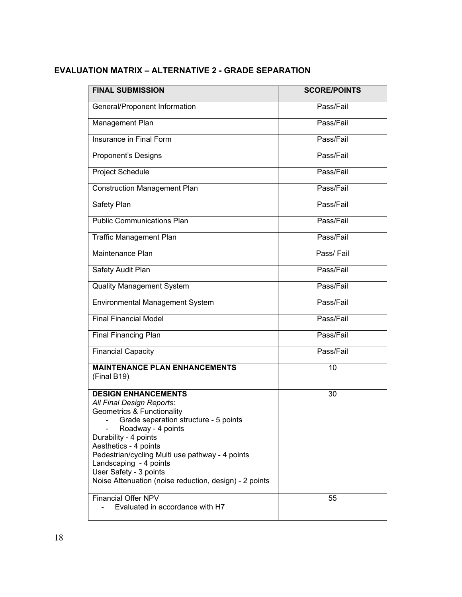# **EVALUATION MATRIX – ALTERNATIVE 2 - GRADE SEPARATION**

| <b>FINAL SUBMISSION</b>                                                                                                                                                                                                                                                                                                                                                                                     | <b>SCORE/POINTS</b> |
|-------------------------------------------------------------------------------------------------------------------------------------------------------------------------------------------------------------------------------------------------------------------------------------------------------------------------------------------------------------------------------------------------------------|---------------------|
| General/Proponent Information                                                                                                                                                                                                                                                                                                                                                                               | Pass/Fail           |
| Management Plan                                                                                                                                                                                                                                                                                                                                                                                             | Pass/Fail           |
| Insurance in Final Form                                                                                                                                                                                                                                                                                                                                                                                     | Pass/Fail           |
| Proponent's Designs                                                                                                                                                                                                                                                                                                                                                                                         | Pass/Fail           |
| Project Schedule                                                                                                                                                                                                                                                                                                                                                                                            | Pass/Fail           |
| <b>Construction Management Plan</b>                                                                                                                                                                                                                                                                                                                                                                         | Pass/Fail           |
| Safety Plan                                                                                                                                                                                                                                                                                                                                                                                                 | Pass/Fail           |
| <b>Public Communications Plan</b>                                                                                                                                                                                                                                                                                                                                                                           | Pass/Fail           |
| <b>Traffic Management Plan</b>                                                                                                                                                                                                                                                                                                                                                                              | Pass/Fail           |
| Maintenance Plan                                                                                                                                                                                                                                                                                                                                                                                            | Pass/Fail           |
| Safety Audit Plan                                                                                                                                                                                                                                                                                                                                                                                           | Pass/Fail           |
| <b>Quality Management System</b>                                                                                                                                                                                                                                                                                                                                                                            | Pass/Fail           |
| Environmental Management System                                                                                                                                                                                                                                                                                                                                                                             | Pass/Fail           |
| <b>Final Financial Model</b>                                                                                                                                                                                                                                                                                                                                                                                | Pass/Fail           |
| <b>Final Financing Plan</b>                                                                                                                                                                                                                                                                                                                                                                                 | Pass/Fail           |
| <b>Financial Capacity</b>                                                                                                                                                                                                                                                                                                                                                                                   | Pass/Fail           |
| <b>MAINTENANCE PLAN ENHANCEMENTS</b><br>(Final B19)                                                                                                                                                                                                                                                                                                                                                         | 10                  |
| <b>DESIGN ENHANCEMENTS</b><br>All Final Design Reports:<br><b>Geometrics &amp; Functionality</b><br>- Grade separation structure - 5 points<br>Roadway - 4 points<br>Durability - 4 points<br>Aesthetics - 4 points<br>Pedestrian/cycling Multi use pathway - 4 points<br>Landscaping - 4 points<br>User Safety - 3 points<br>Noise Attenuation (noise reduction, design) - 2 points<br>Financial Offer NPV | 30                  |
| Evaluated in accordance with H7                                                                                                                                                                                                                                                                                                                                                                             | 55                  |